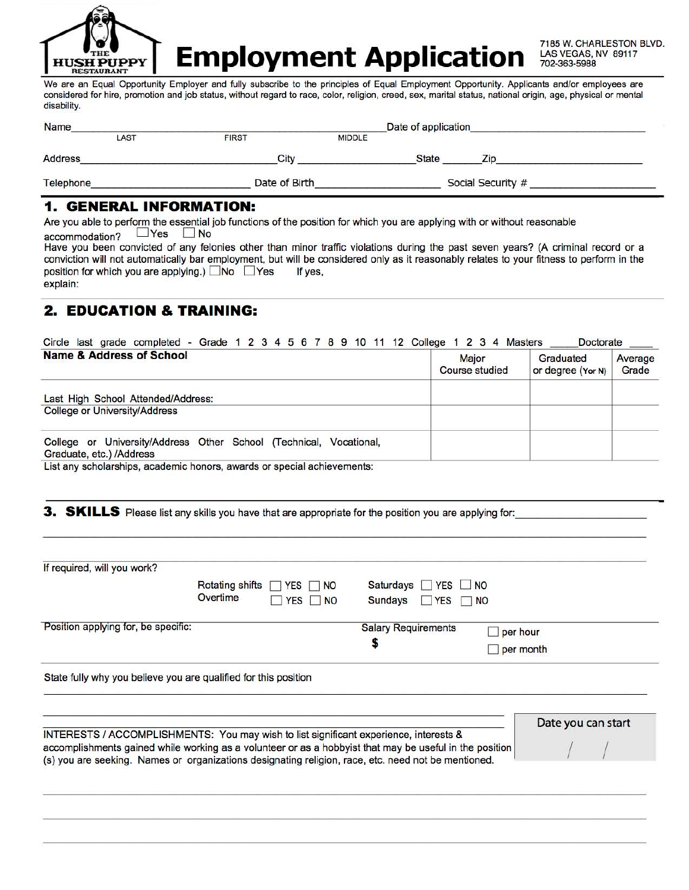

**Employment Application** 

7185 W. CHARLESTON BLVD. LAS VEGAS, NV 89117 702-363-5988

We are an Equal Opportunity Employer and fully subscribe to the principles of Equal Employment Opportunity. Applicants and/or employees are considered for hire, promotion and job status, without regard to race, color, religion, creed, sex, marital status, national origin, age, physical or mental disability.

| <b>Name</b>    |               |               | Date of application |                   |  |
|----------------|---------------|---------------|---------------------|-------------------|--|
| LAST           | <b>FIRST</b>  | <b>MIDDLE</b> |                     |                   |  |
| <b>Address</b> | City          |               | <b>State</b>        | Zio               |  |
| Telephone      | Date of Birth |               |                     | Social Security # |  |

## **1. GENERAL INFORMATION:**

Are you able to perform the essential job functions of the position for which you are applying with or without reasonable  $\Box$  Yes  $\Box$  No accommodation?

Have you been convicted of any felonies other than minor traffic violations during the past seven years? (A criminal record or a conviction will not automatically bar employment, but will be considered only as it reasonably relates to your fitness to perform in the position for which you are applying.) No PYes If yes, explain:

## **2. EDUCATION & TRAINING:**

| Circle last grade completed - Grade 1 2 3 4 5 6 7 8 9 10 11 12 College 1 2 3 4 Masters         |                                | <b>Doctorate</b>               |                  |
|------------------------------------------------------------------------------------------------|--------------------------------|--------------------------------|------------------|
| <b>Name &amp; Address of School</b>                                                            | <b>Major</b><br>Course studied | Graduated<br>or degree (Yor N) | Average<br>Grade |
| Last High School Attended/Address:<br><b>College or University/Address</b>                     |                                |                                |                  |
|                                                                                                |                                |                                |                  |
| College or University/Address Other School (Technical, Vocational,<br>Graduate, etc.) /Address |                                |                                |                  |

List any scholarships, academic honors, awards or special achievements:

3. SKILLS Please list any skills you have that are appropriate for the position you are applying for:

|                                     | <b>Rotating shifts</b><br><b>NO</b><br><b>YES</b><br>IT.                              | Saturdays<br>$\Box$ YES<br><b>NO</b>  |                       |  |
|-------------------------------------|---------------------------------------------------------------------------------------|---------------------------------------|-----------------------|--|
|                                     | Overtime<br><b>YES</b><br><b>NO</b>                                                   | Sundays<br><b>NES</b><br>I NO<br>it i |                       |  |
| Position applying for, be specific: |                                                                                       | <b>Salary Requirements</b><br>Ş       | per hour<br>per month |  |
|                                     | State fully why you believe you are qualified for this position                       |                                       |                       |  |
|                                     | INTERESTS / ACCOMPLISHMENTS: You may wish to list significant experience, interests & |                                       | Date you can start    |  |